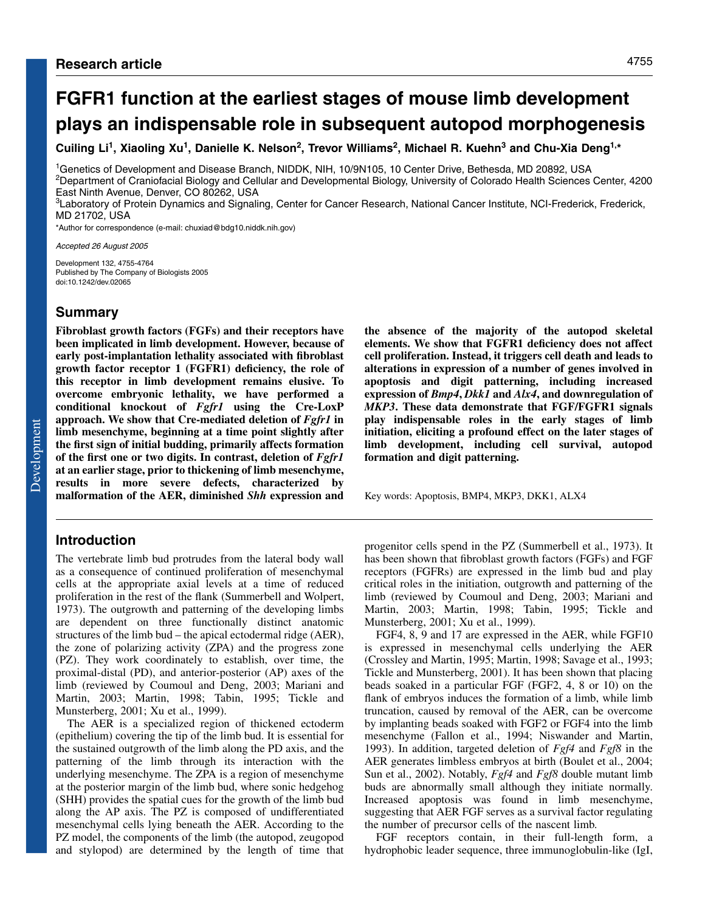**Cuiling Li1, Xiaoling Xu1, Danielle K. Nelson2, Trevor Williams2, Michael R. Kuehn3 and Chu-Xia Deng1,\***

1Genetics of Development and Disease Branch, NIDDK, NIH, 10/9N105, 10 Center Drive, Bethesda, MD 20892, USA 2Department of Craniofacial Biology and Cellular and Developmental Biology, University of Colorado Health Sciences Center, 4200 East Ninth Avenue, Denver, CO 80262, USA

3Laboratory of Protein Dynamics and Signaling, Center for Cancer Research, National Cancer Institute, NCI-Frederick, Frederick, MD 21702, USA

\*Author for correspondence (e-mail: chuxiad@bdg10.niddk.nih.gov)

Accepted 26 August 2005

Development 132, 4755-4764 Published by The Company of Biologists 2005 doi:10.1242/dev.02065

# **Summary**

**Fibroblast growth factors (FGFs) and their receptors have been implicated in limb development. However, because of early post-implantation lethality associated with fibroblast growth factor receptor 1 (FGFR1) deficiency, the role of this receptor in limb development remains elusive. To overcome embryonic lethality, we have performed a conditional knockout of** *Fgfr1* **using the Cre-LoxP approach. We show that Cre-mediated deletion of** *Fgfr1* **in limb mesenchyme, beginning at a time point slightly after the first sign of initial budding, primarily affects formation of the first one or two digits. In contrast, deletion of** *Fgfr1* **at an earlier stage, prior to thickening of limb mesenchyme, results in more severe defects, characterized by malformation of the AER, diminished** *Shh* **expression and**

# **Introduction**

The vertebrate limb bud protrudes from the lateral body wall as a consequence of continued proliferation of mesenchymal cells at the appropriate axial levels at a time of reduced proliferation in the rest of the flank (Summerbell and Wolpert, 1973). The outgrowth and patterning of the developing limbs are dependent on three functionally distinct anatomic structures of the limb bud – the apical ectodermal ridge (AER), the zone of polarizing activity (ZPA) and the progress zone (PZ). They work coordinately to establish, over time, the proximal-distal (PD), and anterior-posterior (AP) axes of the limb (reviewed by Coumoul and Deng, 2003; Mariani and Martin, 2003; Martin, 1998; Tabin, 1995; Tickle and Munsterberg, 2001; Xu et al., 1999).

The AER is a specialized region of thickened ectoderm (epithelium) covering the tip of the limb bud. It is essential for the sustained outgrowth of the limb along the PD axis, and the patterning of the limb through its interaction with the underlying mesenchyme. The ZPA is a region of mesenchyme at the posterior margin of the limb bud, where sonic hedgehog (SHH) provides the spatial cues for the growth of the limb bud along the AP axis. The PZ is composed of undifferentiated mesenchymal cells lying beneath the AER. According to the PZ model, the components of the limb (the autopod, zeugopod and stylopod) are determined by the length of time that

**the absence of the majority of the autopod skeletal elements. We show that FGFR1 deficiency does not affect cell proliferation. Instead, it triggers cell death and leads to alterations in expression of a number of genes involved in apoptosis and digit patterning, including increased expression of** *Bmp4***,** *Dkk1* **and** *Alx4***, and downregulation of** *MKP3***. These data demonstrate that FGF/FGFR1 signals play indispensable roles in the early stages of limb initiation, eliciting a profound effect on the later stages of limb development, including cell survival, autopod formation and digit patterning.**

Key words: Apoptosis, BMP4, MKP3, DKK1, ALX4

progenitor cells spend in the PZ (Summerbell et al., 1973). It has been shown that fibroblast growth factors (FGFs) and FGF receptors (FGFRs) are expressed in the limb bud and play critical roles in the initiation, outgrowth and patterning of the limb (reviewed by Coumoul and Deng, 2003; Mariani and Martin, 2003; Martin, 1998; Tabin, 1995; Tickle and Munsterberg, 2001; Xu et al., 1999).

FGF4, 8, 9 and 17 are expressed in the AER, while FGF10 is expressed in mesenchymal cells underlying the AER (Crossley and Martin, 1995; Martin, 1998; Savage et al., 1993; Tickle and Munsterberg, 2001). It has been shown that placing beads soaked in a particular FGF (FGF2, 4, 8 or 10) on the flank of embryos induces the formation of a limb, while limb truncation, caused by removal of the AER, can be overcome by implanting beads soaked with FGF2 or FGF4 into the limb mesenchyme (Fallon et al., 1994; Niswander and Martin, 1993). In addition, targeted deletion of *Fgf4* and *Fgf8* in the AER generates limbless embryos at birth (Boulet et al., 2004; Sun et al., 2002). Notably, *Fgf4* and *Fgf8* double mutant limb buds are abnormally small although they initiate normally. Increased apoptosis was found in limb mesenchyme, suggesting that AER FGF serves as a survival factor regulating the number of precursor cells of the nascent limb.

FGF receptors contain, in their full-length form, a hydrophobic leader sequence, three immunoglobulin-like (IgI,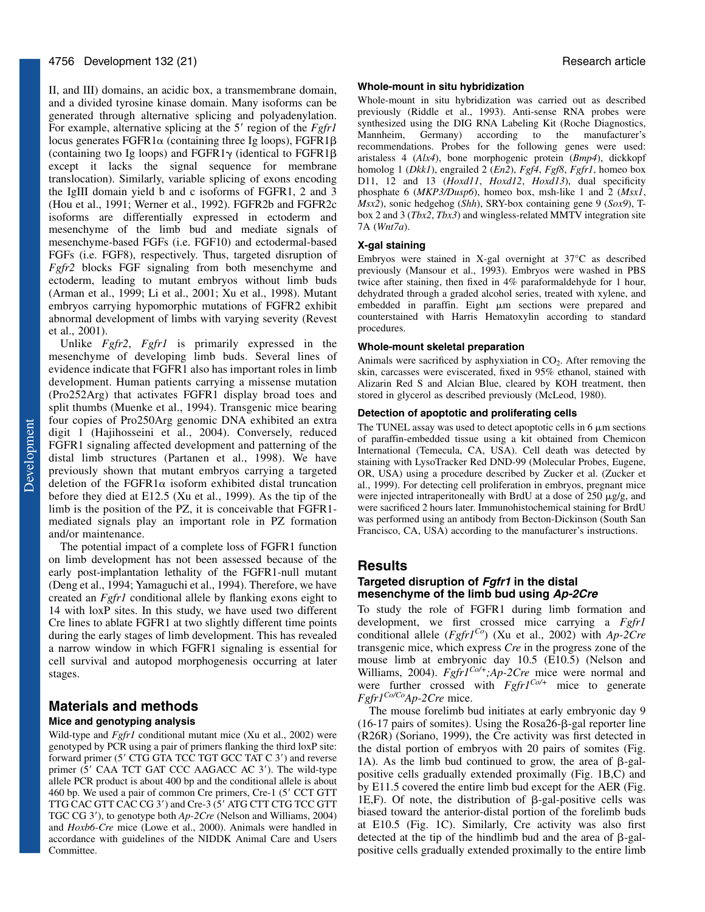II, and III) domains, an acidic box, a transmembrane domain, and a divided tyrosine kinase domain. Many isoforms can be generated through alternative splicing and polyadenylation. For example, alternative splicing at the 5' region of the *Fgfr1* locus generates  $FGFR1\alpha$  (containing three Ig loops),  $FGFR1\beta$ (containing two Ig loops) and FGFR1 $\gamma$  (identical to FGFR1 $\beta$ except it lacks the signal sequence for membrane translocation). Similarly, variable splicing of exons encoding the IgIII domain yield b and c isoforms of FGFR1, 2 and 3 (Hou et al., 1991; Werner et al., 1992). FGFR2b and FGFR2c isoforms are differentially expressed in ectoderm and mesenchyme of the limb bud and mediate signals of mesenchyme-based FGFs (i.e. FGF10) and ectodermal-based FGFs (i.e. FGF8), respectively. Thus, targeted disruption of *Fgfr2* blocks FGF signaling from both mesenchyme and ectoderm, leading to mutant embryos without limb buds (Arman et al., 1999; Li et al., 2001; Xu et al., 1998). Mutant embryos carrying hypomorphic mutations of FGFR2 exhibit abnormal development of limbs with varying severity (Revest et al., 2001).

Unlike *Fgfr2*, *Fgfr1* is primarily expressed in the mesenchyme of developing limb buds. Several lines of evidence indicate that FGFR1 also has important roles in limb development. Human patients carrying a missense mutation (Pro252Arg) that activates FGFR1 display broad toes and split thumbs (Muenke et al., 1994). Transgenic mice bearing four copies of Pro250Arg genomic DNA exhibited an extra digit 1 (Hajihosseini et al., 2004). Conversely, reduced FGFR1 signaling affected development and patterning of the distal limb structures (Partanen et al., 1998). We have previously shown that mutant embryos carrying a targeted deletion of the FGFR1 $\alpha$  isoform exhibited distal truncation before they died at E12.5 (Xu et al., 1999). As the tip of the limb is the position of the PZ, it is conceivable that FGFR1 mediated signals play an important role in PZ formation and/or maintenance.

The potential impact of a complete loss of FGFR1 function on limb development has not been assessed because of the early post-implantation lethality of the FGFR1-null mutant (Deng et al., 1994; Yamaguchi et al., 1994). Therefore, we have created an *Fgfr1* conditional allele by flanking exons eight to 14 with loxP sites. In this study, we have used two different Cre lines to ablate FGFR1 at two slightly different time points during the early stages of limb development. This has revealed a narrow window in which FGFR1 signaling is essential for cell survival and autopod morphogenesis occurring at later stages.

# **Materials and methods Mice and genotyping analysis**

Wild-type and *Fgfr1* conditional mutant mice (Xu et al., 2002) were genotyped by PCR using a pair of primers flanking the third loxP site: forward primer (5' CTG GTA TCC TGT GCC TAT C 3') and reverse primer (5' CAA TCT GAT CCC AAGACC AC 3'). The wild-type allele PCR product is about 400 bp and the conditional allele is about 460 bp. We used a pair of common Cre primers, Cre-1 (5' CCT GTT TTG CAC GTT CAC CG 3') and Cre-3 (5' ATG CTT CTG TCC GTT TGC CG 3'), to genotype both  $Ap-2Cre$  (Nelson and Williams, 2004) and *Hoxb6-Cre* mice (Lowe et al., 2000). Animals were handled in accordance with guidelines of the NIDDK Animal Care and Users Committee.

### **Whole-mount in situ hybridization**

Whole-mount in situ hybridization was carried out as described previously (Riddle et al., 1993). Anti-sense RNA probes were synthesized using the DIG RNA Labeling Kit (Roche Diagnostics, Mannheim, Germany) according to the manufacturer's recommendations. Probes for the following genes were used: aristaless 4 (*Alx4*), bone morphogenic protein (*Bmp4*), dickkopf homolog 1 (*Dkk1*), engrailed 2 (*En2*), *Fgf4*, *Fgf8*, *Fgfr1*, homeo box D11, 12 and 13 (*Hoxd11*, *Hoxd12*, *Hoxd13*), dual specificity phosphate 6 (*MKP3/Dusp6*), homeo box, msh-like 1 and 2 (*Msx1*, *Msx2*), sonic hedgehog (*Shh*), SRY-box containing gene 9 (*Sox9*), Tbox 2 and 3 (*Tbx2*, *Tbx3*) and wingless-related MMTV integration site 7A (*Wnt7a*).

### **X-gal staining**

Embryos were stained in X-gal overnight at 37°C as described previously (Mansour et al., 1993). Embryos were washed in PBS twice after staining, then fixed in 4% paraformaldehyde for 1 hour, dehydrated through a graded alcohol series, treated with xylene, and embedded in paraffin. Eight  $\mu$ m sections were prepared and counterstained with Harris Hematoxylin according to standard procedures.

### **Whole-mount skeletal preparation**

Animals were sacrificed by asphyxiation in  $CO<sub>2</sub>$ . After removing the skin, carcasses were eviscerated, fixed in 95% ethanol, stained with Alizarin Red S and Alcian Blue, cleared by KOH treatment, then stored in glycerol as described previously (McLeod, 1980).

### **Detection of apoptotic and proliferating cells**

The TUNEL assay was used to detect apoptotic cells in  $6 \mu m$  sections of paraffin-embedded tissue using a kit obtained from Chemicon International (Temecula, CA, USA). Cell death was detected by staining with LysoTracker Red DND-99 (Molecular Probes, Eugene, OR, USA) using a procedure described by Zucker et al. (Zucker et al., 1999). For detecting cell proliferation in embryos, pregnant mice were injected intraperitoneally with BrdU at a dose of  $250 \mu g/g$ , and were sacrificed 2 hours later. Immunohistochemical staining for BrdU was performed using an antibody from Becton-Dickinson (South San Francisco, CA, USA) according to the manufacturer's instructions.

#### **Results**

## **Targeted disruption of Fgfr1 in the distal mesenchyme of the limb bud using Ap-2Cre**

To study the role of FGFR1 during limb formation and development, we first crossed mice carrying a *Fgfr1* conditional allele (*Fgfr1Co*) (Xu et al., 2002) with *Ap-2Cre* transgenic mice, which express *Cre* in the progress zone of the mouse limb at embryonic day 10.5 (E10.5) (Nelson and Williams, 2004). *Fgfr1<sup>Co/+</sup>;Ap-2Cre* mice were normal and were further crossed with *Fgfr1Co/+* mice to generate *Fgfr1Co/CoAp-2Cre* mice.

The mouse forelimb bud initiates at early embryonic day 9 (16-17 pairs of somites). Using the  $Rosa26-\beta$ -gal reporter line (R26R) (Soriano, 1999), the Cre activity was first detected in the distal portion of embryos with 20 pairs of somites (Fig. 1A). As the limb bud continued to grow, the area of  $\beta$ -galpositive cells gradually extended proximally (Fig. 1B,C) and by E11.5 covered the entire limb bud except for the AER (Fig. 1E,F). Of note, the distribution of  $\beta$ -gal-positive cells was biased toward the anterior-distal portion of the forelimb buds at E10.5 (Fig. 1C). Similarly, Cre activity was also first detected at the tip of the hindlimb bud and the area of  $\beta$ -galpositive cells gradually extended proximally to the entire limb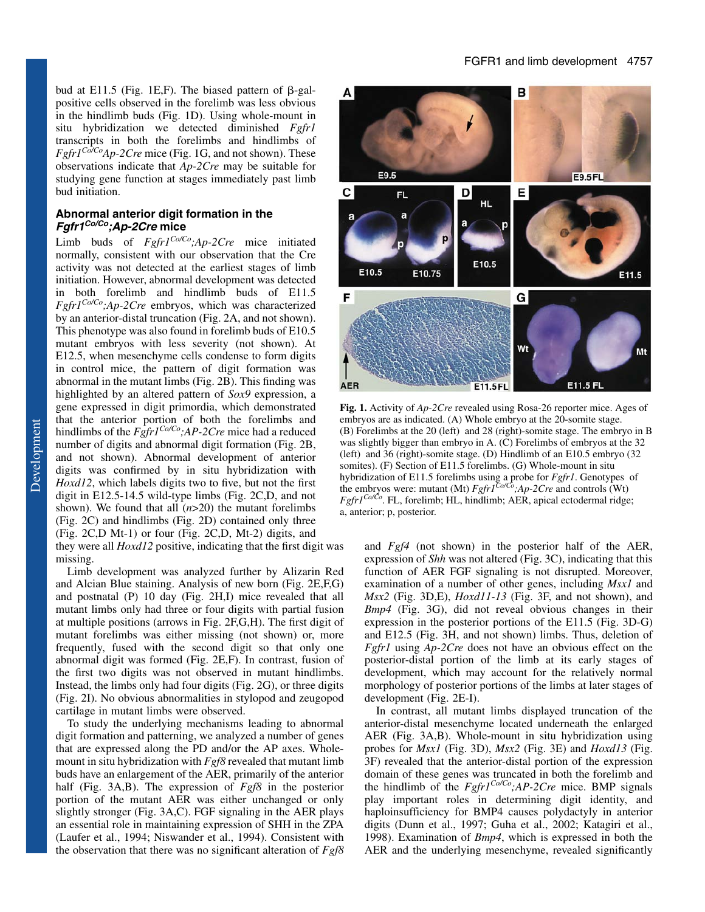bud at E11.5 (Fig. 1E,F). The biased pattern of  $\beta$ -galpositive cells observed in the forelimb was less obvious in the hindlimb buds (Fig. 1D). Using whole-mount in situ hybridization we detected diminished *Fgfr1* transcripts in both the forelimbs and hindlimbs of  $Fgfr1^{Co/Co}Ap-2Cre$  mice (Fig. 1G, and not shown). These observations indicate that *Ap-2Cre* may be suitable for studying gene function at stages immediately past limb bud initiation.

### **Abnormal anterior digit formation in the Fgfr1Co/Co;Ap-2Cre mice**

Limb buds of *Fgfr1Co/Co;Ap-2Cre* mice initiated normally, consistent with our observation that the Cre activity was not detected at the earliest stages of limb initiation. However, abnormal development was detected in both forelimb and hindlimb buds of E11.5 *Fgfr1Co/Co;Ap-2Cre* embryos, which was characterized by an anterior-distal truncation (Fig. 2A, and not shown). This phenotype was also found in forelimb buds of E10.5 mutant embryos with less severity (not shown). At E12.5, when mesenchyme cells condense to form digits in control mice, the pattern of digit formation was abnormal in the mutant limbs (Fig. 2B). This finding was highlighted by an altered pattern of *Sox9* expression, a gene expressed in digit primordia, which demonstrated that the anterior portion of both the forelimbs and hindlimbs of the *Fgfr1Co/Co;AP-2Cre* mice had a reduced number of digits and abnormal digit formation (Fig. 2B, and not shown). Abnormal development of anterior digits was confirmed by in situ hybridization with *Hoxd12*, which labels digits two to five, but not the first digit in E12.5-14.5 wild-type limbs (Fig. 2C,D, and not shown). We found that all (*n*>20) the mutant forelimbs (Fig. 2C) and hindlimbs (Fig. 2D) contained only three (Fig. 2C,D Mt-1) or four (Fig. 2C,D, Mt-2) digits, and

they were all *Hoxd12* positive, indicating that the first digit was missing.

Limb development was analyzed further by Alizarin Red and Alcian Blue staining. Analysis of new born (Fig. 2E,F,G) and postnatal (P) 10 day (Fig. 2H,I) mice revealed that all mutant limbs only had three or four digits with partial fusion at multiple positions (arrows in Fig. 2F,G,H). The first digit of mutant forelimbs was either missing (not shown) or, more frequently, fused with the second digit so that only one abnormal digit was formed (Fig. 2E,F). In contrast, fusion of the first two digits was not observed in mutant hindlimbs. Instead, the limbs only had four digits (Fig. 2G), or three digits (Fig. 2I). No obvious abnormalities in stylopod and zeugopod cartilage in mutant limbs were observed.

To study the underlying mechanisms leading to abnormal digit formation and patterning, we analyzed a number of genes that are expressed along the PD and/or the AP axes. Wholemount in situ hybridization with *Fgf8* revealed that mutant limb buds have an enlargement of the AER, primarily of the anterior half (Fig. 3A,B). The expression of *Fgf8* in the posterior portion of the mutant AER was either unchanged or only slightly stronger (Fig. 3A,C). FGF signaling in the AER plays an essential role in maintaining expression of SHH in the ZPA (Laufer et al., 1994; Niswander et al., 1994). Consistent with the observation that there was no significant alteration of *Fgf8*



**Fig. 1.** Activity of *Ap-2Cre* revealed using Rosa-26 reporter mice. Ages of embryos are as indicated. (A) Whole embryo at the 20-somite stage. (B) Forelimbs at the 20 (left) and 28 (right)-somite stage. The embryo in B was slightly bigger than embryo in A. (C) Forelimbs of embryos at the 32 (left) and 36 (right)-somite stage. (D) Hindlimb of an E10.5 embryo (32 somites). (F) Section of E11.5 forelimbs. (G) Whole-mount in situ hybridization of E11.5 forelimbs using a probe for *Fgfr1*. Genotypes of the embryos were: mutant (Mt) *Fgfr1Co/Co;Ap-2Cre* and controls (Wt) *Fgfr1Co/Co*. FL, forelimb; HL, hindlimb; AER, apical ectodermal ridge; a, anterior; p, posterior.

and *Fgf4* (not shown) in the posterior half of the AER, expression of *Shh* was not altered (Fig. 3C), indicating that this function of AER FGF signaling is not disrupted. Moreover, examination of a number of other genes, including *Msx1* and *Msx2* (Fig. 3D,E), *Hoxd11-13* (Fig. 3F, and not shown), and *Bmp4* (Fig. 3G), did not reveal obvious changes in their expression in the posterior portions of the E11.5 (Fig. 3D-G) and E12.5 (Fig. 3H, and not shown) limbs. Thus, deletion of *Fgfr1* using *Ap-2Cre* does not have an obvious effect on the posterior-distal portion of the limb at its early stages of development, which may account for the relatively normal morphology of posterior portions of the limbs at later stages of development (Fig. 2E-I).

In contrast, all mutant limbs displayed truncation of the anterior-distal mesenchyme located underneath the enlarged AER (Fig. 3A,B). Whole-mount in situ hybridization using probes for *Msx1* (Fig. 3D), *Msx2* (Fig. 3E) and *Hoxd13* (Fig. 3F) revealed that the anterior-distal portion of the expression domain of these genes was truncated in both the forelimb and the hindlimb of the *Fgfr1Co/Co;AP-2Cre* mice. BMP signals play important roles in determining digit identity, and haploinsufficiency for BMP4 causes polydactyly in anterior digits (Dunn et al., 1997; Guha et al., 2002; Katagiri et al., 1998). Examination of *Bmp4*, which is expressed in both the AER and the underlying mesenchyme, revealed significantly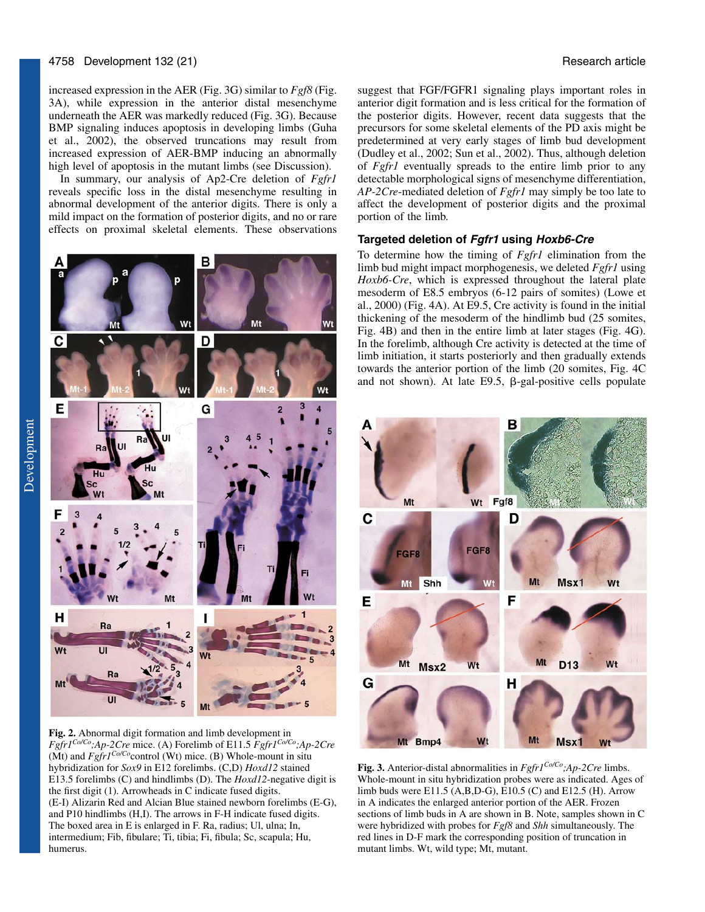increased expression in the AER (Fig. 3G) similar to *Fgf8* (Fig. 3A), while expression in the anterior distal mesenchyme underneath the AER was markedly reduced (Fig. 3G). Because BMP signaling induces apoptosis in developing limbs (Guha et al., 2002), the observed truncations may result from increased expression of AER-BMP inducing an abnormally high level of apoptosis in the mutant limbs (see Discussion).

In summary, our analysis of Ap2-Cre deletion of *Fgfr1* reveals specific loss in the distal mesenchyme resulting in abnormal development of the anterior digits. There is only a mild impact on the formation of posterior digits, and no or rare effects on proximal skeletal elements. These observations



**Fig. 2.** Abnormal digit formation and limb development in *Fgfr1Co/Co;Ap-2Cre* mice. (A) Forelimb of E11.5 *Fgfr1Co/Co;Ap-2Cre* (Mt) and  $Fgfr1^{Co/Co}$  control (Wt) mice. (B) Whole-mount in situ hybridization for *Sox9* in E12 forelimbs. (C,D) *Hoxd12* stained E13.5 forelimbs (C) and hindlimbs (D). The *Hoxd12*-negative digit is the first digit (1). Arrowheads in C indicate fused digits. (E-I) Alizarin Red and Alcian Blue stained newborn forelimbs (E-G), and P10 hindlimbs (H,I). The arrows in F-H indicate fused digits. The boxed area in E is enlarged in F. Ra, radius; Ul, ulna; In, intermedium; Fib, fibulare; Ti, tibia; Fi, fibula; Sc, scapula; Hu, humerus.

suggest that FGF/FGFR1 signaling plays important roles in anterior digit formation and is less critical for the formation of the posterior digits. However, recent data suggests that the precursors for some skeletal elements of the PD axis might be predetermined at very early stages of limb bud development (Dudley et al., 2002; Sun et al., 2002). Thus, although deletion of *Fgfr1* eventually spreads to the entire limb prior to any detectable morphological signs of mesenchyme differentiation, *AP-2Cre*-mediated deletion of *Fgfr1* may simply be too late to affect the development of posterior digits and the proximal portion of the limb.

## **Targeted deletion of Fgfr1 using Hoxb6-Cre**

To determine how the timing of *Fgfr1* elimination from the limb bud might impact morphogenesis, we deleted *Fgfr1* using *Hoxb6-Cre*, which is expressed throughout the lateral plate mesoderm of E8.5 embryos (6-12 pairs of somites) (Lowe et al., 2000) (Fig. 4A). At E9.5, Cre activity is found in the initial thickening of the mesoderm of the hindlimb bud (25 somites, Fig. 4B) and then in the entire limb at later stages (Fig. 4G). In the forelimb, although Cre activity is detected at the time of limb initiation, it starts posteriorly and then gradually extends towards the anterior portion of the limb (20 somites, Fig. 4C and not shown). At late E9.5,  $\beta$ -gal-positive cells populate



**Fig. 3.** Anterior-distal abnormalities in *Fgfr1Co/Co;Ap-2Cre* limbs. Whole-mount in situ hybridization probes were as indicated. Ages of limb buds were E11.5 (A,B,D-G), E10.5 (C) and E12.5 (H). Arrow in A indicates the enlarged anterior portion of the AER. Frozen sections of limb buds in A are shown in B. Note, samples shown in C were hybridized with probes for *Fgf8* and *Shh* simultaneously. The red lines in D-F mark the corresponding position of truncation in mutant limbs. Wt, wild type; Mt, mutant.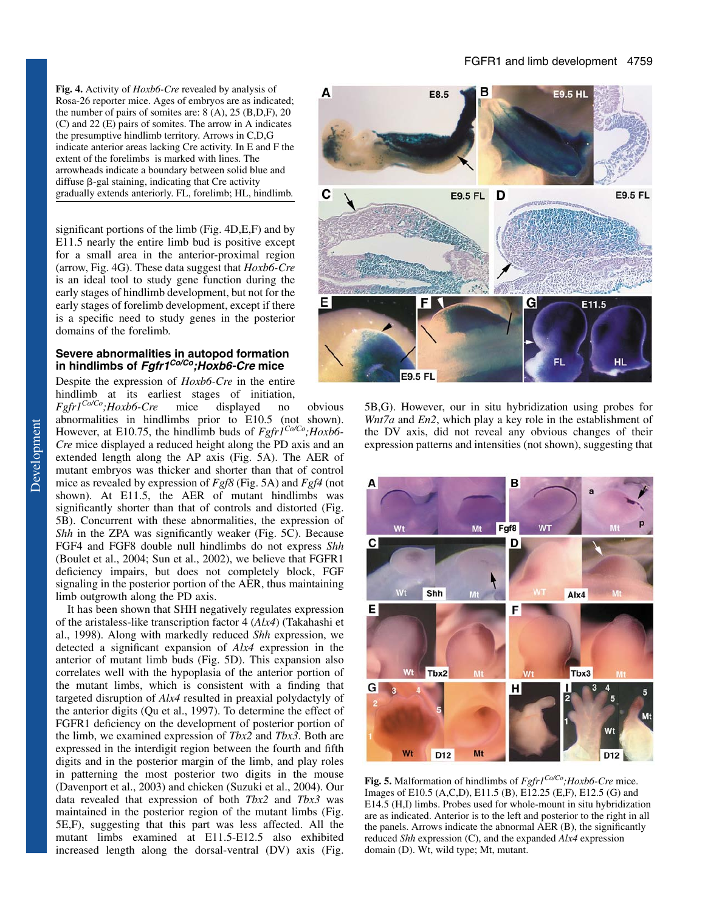**Fig. 4.** Activity of *Hoxb6-Cre* revealed by analysis of Rosa-26 reporter mice. Ages of embryos are as indicated; the number of pairs of somites are:  $8(A)$ ,  $25(B,D,F)$ ,  $20$ (C) and 22 (E) pairs of somites. The arrow in A indicates the presumptive hindlimb territory. Arrows in C,D,G indicate anterior areas lacking Cre activity. In E and F the extent of the forelimbs is marked with lines. The arrowheads indicate a boundary between solid blue and diffuse  $\beta$ -gal staining, indicating that Cre activity gradually extends anteriorly. FL, forelimb; HL, hindlimb.

significant portions of the limb (Fig. 4D,E,F) and by E11.5 nearly the entire limb bud is positive except for a small area in the anterior-proximal region (arrow, Fig. 4G). These data suggest that *Hoxb6-Cre* is an ideal tool to study gene function during the early stages of hindlimb development, but not for the early stages of forelimb development, except if there is a specific need to study genes in the posterior domains of the forelimb.

## **Severe abnormalities in autopod formation in hindlimbs of Fgfr1Co/Co;Hoxb6-Cre mice**

Despite the expression of *Hoxb6-Cre* in the entire hindlimb at its earliest stages of initiation,

*Fgfr1Co/Co;Hoxb6-Cre* mice displayed no obvious abnormalities in hindlimbs prior to E10.5 (not shown). However, at E10.75, the hindlimb buds of *Fgfr1Co/Co;Hoxb6- Cre* mice displayed a reduced height along the PD axis and an extended length along the AP axis (Fig. 5A). The AER of mutant embryos was thicker and shorter than that of control mice as revealed by expression of *Fgf8* (Fig. 5A) and *Fgf4* (not shown). At E11.5, the AER of mutant hindlimbs was significantly shorter than that of controls and distorted (Fig. 5B). Concurrent with these abnormalities, the expression of *Shh* in the ZPA was significantly weaker (Fig. 5C). Because FGF4 and FGF8 double null hindlimbs do not express *Shh* (Boulet et al., 2004; Sun et al., 2002), we believe that FGFR1 deficiency impairs, but does not completely block, FGF signaling in the posterior portion of the AER, thus maintaining limb outgrowth along the PD axis.

It has been shown that SHH negatively regulates expression of the aristaless-like transcription factor 4 (*Alx4*) (Takahashi et al., 1998). Along with markedly reduced *Shh* expression, we detected a significant expansion of *Alx4* expression in the anterior of mutant limb buds (Fig. 5D). This expansion also correlates well with the hypoplasia of the anterior portion of the mutant limbs, which is consistent with a finding that targeted disruption of *Alx4* resulted in preaxial polydactyly of the anterior digits (Qu et al., 1997). To determine the effect of FGFR1 deficiency on the development of posterior portion of the limb, we examined expression of *Tbx2* and *Tbx3*. Both are expressed in the interdigit region between the fourth and fifth digits and in the posterior margin of the limb, and play roles in patterning the most posterior two digits in the mouse (Davenport et al., 2003) and chicken (Suzuki et al., 2004). Our data revealed that expression of both *Tbx2* and *Tbx3* was maintained in the posterior region of the mutant limbs (Fig. 5E,F), suggesting that this part was less affected. All the mutant limbs examined at E11.5-E12.5 also exhibited increased length along the dorsal-ventral (DV) axis (Fig.



5B,G). However, our in situ hybridization using probes for *Wnt7a* and *En2*, which play a key role in the establishment of the DV axis, did not reveal any obvious changes of their expression patterns and intensities (not shown), suggesting that



**Fig. 5.** Malformation of hindlimbs of *Fgfr1Co/Co;Hoxb6-Cre* mice. Images of E10.5 (A,C,D), E11.5 (B), E12.25 (E,F), E12.5 (G) and E14.5 (H,I) limbs. Probes used for whole-mount in situ hybridization are as indicated. Anterior is to the left and posterior to the right in all the panels. Arrows indicate the abnormal AER (B), the significantly reduced *Shh* expression (C), and the expanded *Alx4* expression domain (D). Wt, wild type; Mt, mutant.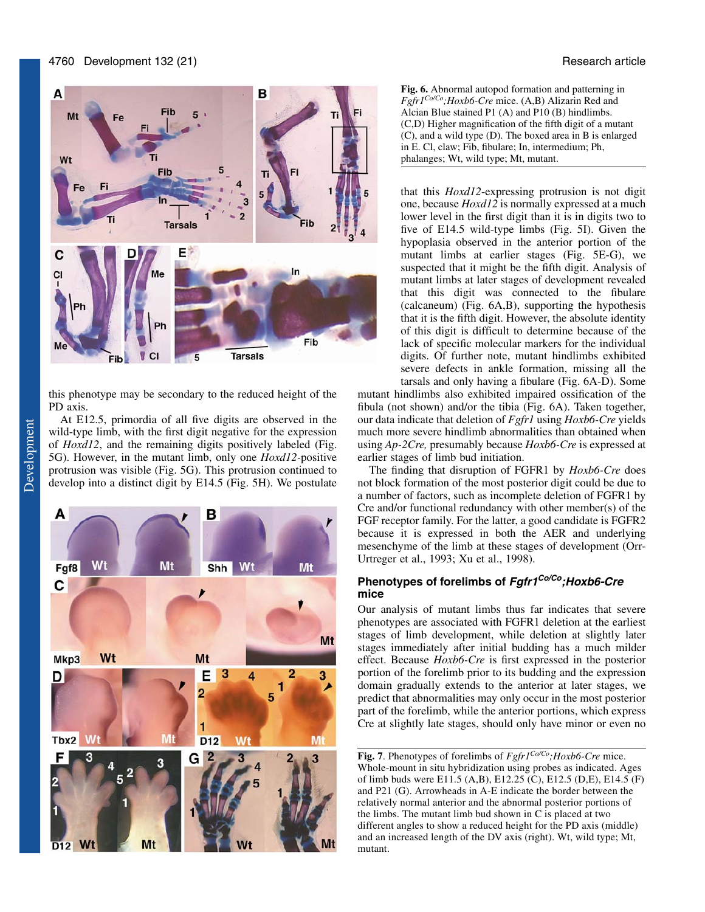

this phenotype may be secondary to the reduced height of the PD axis.

At E12.5, primordia of all five digits are observed in the wild-type limb, with the first digit negative for the expression of *Hoxd12*, and the remaining digits positively labeled (Fig. 5G). However, in the mutant limb, only one *Hoxd12-*positive protrusion was visible (Fig. 5G). This protrusion continued to develop into a distinct digit by E14.5 (Fig. 5H). We postulate



**Fig. 6.** Abnormal autopod formation and patterning in *Fgfr1Co/Co;Hoxb6-Cre* mice. (A,B) Alizarin Red and Alcian Blue stained P1 (A) and P10 (B) hindlimbs. (C,D) Higher magnification of the fifth digit of a mutant (C), and a wild type (D). The boxed area in B is enlarged in E. Cl, claw; Fib, fibulare; In, intermedium; Ph, phalanges; Wt, wild type; Mt, mutant.

that this *Hoxd12*-expressing protrusion is not digit one, because *Hoxd12* is normally expressed at a much lower level in the first digit than it is in digits two to five of E14.5 wild-type limbs (Fig. 5I). Given the hypoplasia observed in the anterior portion of the mutant limbs at earlier stages (Fig. 5E-G), we suspected that it might be the fifth digit. Analysis of mutant limbs at later stages of development revealed that this digit was connected to the fibulare (calcaneum) (Fig. 6A,B), supporting the hypothesis that it is the fifth digit. However, the absolute identity of this digit is difficult to determine because of the lack of specific molecular markers for the individual digits. Of further note, mutant hindlimbs exhibited severe defects in ankle formation, missing all the tarsals and only having a fibulare (Fig. 6A-D). Some

mutant hindlimbs also exhibited impaired ossification of the fibula (not shown) and/or the tibia (Fig. 6A). Taken together, our data indicate that deletion of *Fgfr1* using *Hoxb6-Cre* yields much more severe hindlimb abnormalities than obtained when using *Ap-2Cre,* presumably because *Hoxb6-Cre* is expressed at earlier stages of limb bud initiation.

The finding that disruption of FGFR1 by *Hoxb6-Cre* does not block formation of the most posterior digit could be due to a number of factors, such as incomplete deletion of FGFR1 by Cre and/or functional redundancy with other member(s) of the FGF receptor family. For the latter, a good candidate is FGFR2 because it is expressed in both the AER and underlying mesenchyme of the limb at these stages of development (Orr-Urtreger et al., 1993; Xu et al., 1998).

# **Phenotypes of forelimbs of Fgfr1Co/Co;Hoxb6-Cre mice**

Our analysis of mutant limbs thus far indicates that severe phenotypes are associated with FGFR1 deletion at the earliest stages of limb development, while deletion at slightly later stages immediately after initial budding has a much milder effect. Because *Hoxb6-Cre* is first expressed in the posterior portion of the forelimb prior to its budding and the expression domain gradually extends to the anterior at later stages, we predict that abnormalities may only occur in the most posterior part of the forelimb, while the anterior portions, which express Cre at slightly late stages, should only have minor or even no

**Fig. 7**. Phenotypes of forelimbs of *Fgfr1Co/Co;Hoxb6-Cre* mice. Whole-mount in situ hybridization using probes as indicated. Ages of limb buds were E11.5 (A,B), E12.25 (C), E12.5 (D,E), E14.5 (F) and P21 (G). Arrowheads in A-E indicate the border between the relatively normal anterior and the abnormal posterior portions of the limbs. The mutant limb bud shown in C is placed at two different angles to show a reduced height for the PD axis (middle) and an increased length of the DV axis (right). Wt, wild type; Mt, mutant.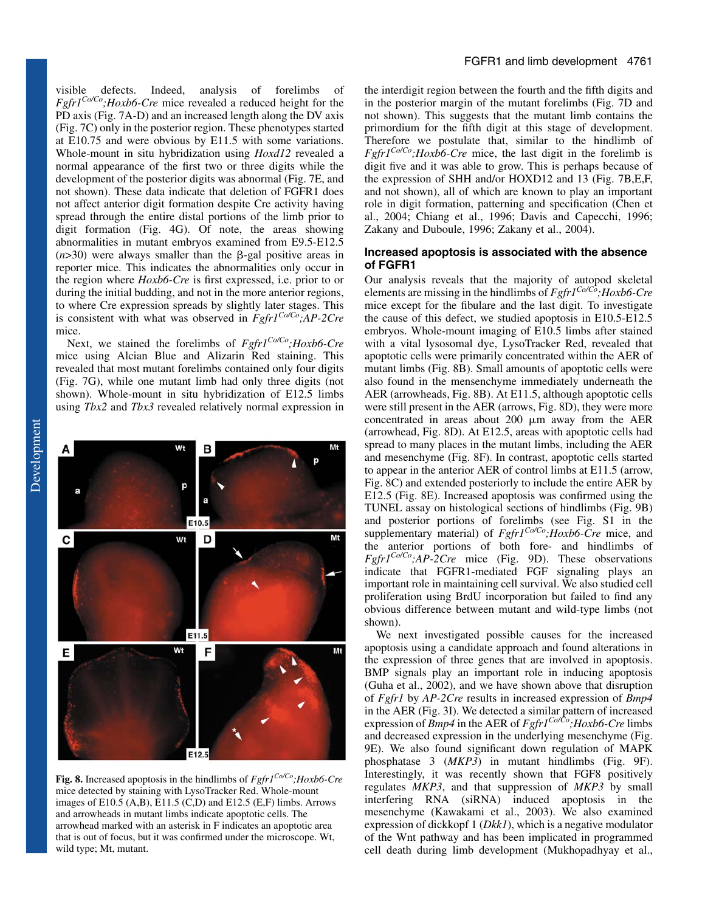visible defects. Indeed, analysis of forelimbs of *Fgfr1Co/Co;Hoxb6-Cre* mice revealed a reduced height for the PD axis (Fig. 7A-D) and an increased length along the DV axis (Fig. 7C) only in the posterior region. These phenotypes started at E10.75 and were obvious by E11.5 with some variations. Whole-mount in situ hybridization using *Hoxd12* revealed a normal appearance of the first two or three digits while the development of the posterior digits was abnormal (Fig. 7E, and not shown). These data indicate that deletion of FGFR1 does not affect anterior digit formation despite Cre activity having spread through the entire distal portions of the limb prior to digit formation (Fig. 4G). Of note, the areas showing abnormalities in mutant embryos examined from E9.5-E12.5  $(n>30)$  were always smaller than the  $\beta$ -gal positive areas in reporter mice. This indicates the abnormalities only occur in the region where *Hoxb6-Cre* is first expressed, i.e. prior to or during the initial budding, and not in the more anterior regions, to where Cre expression spreads by slightly later stages. This is consistent with what was observed in *Fgfr1Co/Co;AP-2Cre* mice.

Next, we stained the forelimbs of *Fgfr1Co/Co;Hoxb6-Cre* mice using Alcian Blue and Alizarin Red staining. This revealed that most mutant forelimbs contained only four digits (Fig. 7G), while one mutant limb had only three digits (not shown). Whole-mount in situ hybridization of E12.5 limbs using *Tbx2* and *Tbx3* revealed relatively normal expression in

в

E10.5

E11.5

F

Wt

D

Wt

Wt



the interdigit region between the fourth and the fifth digits and in the posterior margin of the mutant forelimbs (Fig. 7D and not shown). This suggests that the mutant limb contains the primordium for the fifth digit at this stage of development. Therefore we postulate that, similar to the hindlimb of  $Fgfr1^{Co\text{/}Co}$ ;*Hoxb6-Cre* mice, the last digit in the forelimb is digit five and it was able to grow. This is perhaps because of the expression of SHH and/or HOXD12 and 13 (Fig. 7B,E,F, and not shown), all of which are known to play an important role in digit formation, patterning and specification (Chen et al., 2004; Chiang et al., 1996; Davis and Capecchi, 1996; Zakany and Duboule, 1996; Zakany et al., 2004).

## **Increased apoptosis is associated with the absence of FGFR1**

Our analysis reveals that the majority of autopod skeletal elements are missing in the hindlimbs of *Fgfr1Co/Co;Hoxb6-Cre* mice except for the fibulare and the last digit. To investigate the cause of this defect, we studied apoptosis in E10.5-E12.5 embryos. Whole-mount imaging of E10.5 limbs after stained with a vital lysosomal dye, LysoTracker Red, revealed that apoptotic cells were primarily concentrated within the AER of mutant limbs (Fig. 8B). Small amounts of apoptotic cells were also found in the mensenchyme immediately underneath the AER (arrowheads, Fig. 8B). At E11.5, although apoptotic cells were still present in the AER (arrows, Fig. 8D), they were more concentrated in areas about  $200 \mu m$  away from the AER (arrowhead, Fig. 8D). At E12.5, areas with apoptotic cells had spread to many places in the mutant limbs, including the AER and mesenchyme (Fig. 8F). In contrast, apoptotic cells started to appear in the anterior AER of control limbs at E11.5 (arrow, Fig. 8C) and extended posteriorly to include the entire AER by E12.5 (Fig. 8E). Increased apoptosis was confirmed using the TUNEL assay on histological sections of hindlimbs (Fig. 9B) and posterior portions of forelimbs (see Fig. S1 in the supplementary material) of *Fgfr1Co/Co;Hoxb6-Cre* mice, and the anterior portions of both fore- and hindlimbs of *Fgfr1Co/Co;AP-2Cre* mice (Fig. 9D). These observations indicate that FGFR1-mediated FGF signaling plays an important role in maintaining cell survival. We also studied cell proliferation using BrdU incorporation but failed to find any obvious difference between mutant and wild-type limbs (not shown).

We next investigated possible causes for the increased apoptosis using a candidate approach and found alterations in the expression of three genes that are involved in apoptosis. BMP signals play an important role in inducing apoptosis (Guha et al., 2002), and we have shown above that disruption of *Fgfr1* by *AP-2Cre* results in increased expression of *Bmp4* in the AER (Fig. 3I). We detected a similar pattern of increased expression of *Bmp4* in the AER of *Fgfr1Co/Co;Hoxb6-Cre* limbs and decreased expression in the underlying mesenchyme (Fig. 9E). We also found significant down regulation of MAPK phosphatase 3 (*MKP3*) in mutant hindlimbs (Fig. 9F). Interestingly, it was recently shown that FGF8 positively regulates *MKP3*, and that suppression of *MKP3* by small interfering RNA (siRNA) induced apoptosis in the mesenchyme (Kawakami et al., 2003). We also examined expression of dickkopf 1 (*Dkk1*), which is a negative modulator of the Wnt pathway and has been implicated in programmed cell death during limb development (Mukhopadhyay et al.,

А

C

E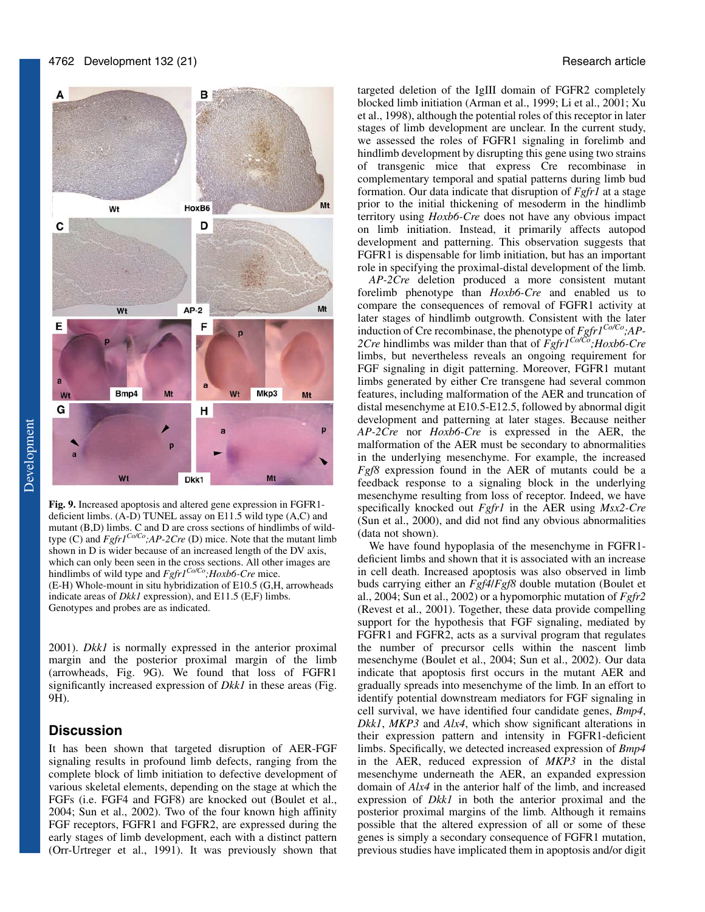

**Fig. 9.** Increased apoptosis and altered gene expression in FGFR1 deficient limbs. (A-D) TUNEL assay on E11.5 wild type (A,C) and mutant (B,D) limbs. C and D are cross sections of hindlimbs of wildtype (C) and *Fgfr1Co/Co;AP-2Cre* (D) mice. Note that the mutant limb shown in D is wider because of an increased length of the DV axis, which can only been seen in the cross sections. All other images are hindlimbs of wild type and *Fgfr1Co/Co;Hoxb6-Cre* mice. (E-H) Whole-mount in situ hybridization of E10.5 (G,H, arrowheads indicate areas of *Dkk1* expression), and E11.5 (E,F) limbs. Genotypes and probes are as indicated.

2001). *Dkk1* is normally expressed in the anterior proximal margin and the posterior proximal margin of the limb (arrowheads, Fig. 9G). We found that loss of FGFR1 significantly increased expression of *Dkk1* in these areas (Fig. 9H).

# **Discussion**

It has been shown that targeted disruption of AER-FGF signaling results in profound limb defects, ranging from the complete block of limb initiation to defective development of various skeletal elements, depending on the stage at which the FGFs (i.e. FGF4 and FGF8) are knocked out (Boulet et al., 2004; Sun et al., 2002). Two of the four known high affinity FGF receptors, FGFR1 and FGFR2, are expressed during the early stages of limb development, each with a distinct pattern (Orr-Urtreger et al., 1991). It was previously shown that targeted deletion of the IgIII domain of FGFR2 completely blocked limb initiation (Arman et al., 1999; Li et al., 2001; Xu et al., 1998), although the potential roles of this receptor in later stages of limb development are unclear. In the current study, we assessed the roles of FGFR1 signaling in forelimb and hindlimb development by disrupting this gene using two strains of transgenic mice that express Cre recombinase in complementary temporal and spatial patterns during limb bud formation. Our data indicate that disruption of *Fgfr1* at a stage prior to the initial thickening of mesoderm in the hindlimb territory using *Hoxb6-Cre* does not have any obvious impact on limb initiation. Instead, it primarily affects autopod development and patterning. This observation suggests that FGFR1 is dispensable for limb initiation, but has an important role in specifying the proximal-distal development of the limb.

*AP-2Cre* deletion produced a more consistent mutant forelimb phenotype than *Hoxb6-Cre* and enabled us to compare the consequences of removal of FGFR1 activity at later stages of hindlimb outgrowth. Consistent with the later induction of Cre recombinase, the phenotype of *Fgfr1Co/Co;AP-2Cre* hindlimbs was milder than that of *Fgfr1Co/Co;Hoxb6-Cre* limbs, but nevertheless reveals an ongoing requirement for FGF signaling in digit patterning. Moreover, FGFR1 mutant limbs generated by either Cre transgene had several common features, including malformation of the AER and truncation of distal mesenchyme at E10.5-E12.5, followed by abnormal digit development and patterning at later stages. Because neither *AP-2Cre* nor *Hoxb6-Cre* is expressed in the AER, the malformation of the AER must be secondary to abnormalities in the underlying mesenchyme. For example, the increased *Fgf8* expression found in the AER of mutants could be a feedback response to a signaling block in the underlying mesenchyme resulting from loss of receptor. Indeed, we have specifically knocked out *Fgfr1* in the AER using *Msx2-Cre* (Sun et al., 2000), and did not find any obvious abnormalities (data not shown).

We have found hypoplasia of the mesenchyme in FGFR1 deficient limbs and shown that it is associated with an increase in cell death. Increased apoptosis was also observed in limb buds carrying either an *Fgf4*/*Fgf8* double mutation (Boulet et al., 2004; Sun et al., 2002) or a hypomorphic mutation of *Fgfr2* (Revest et al., 2001). Together, these data provide compelling support for the hypothesis that FGF signaling, mediated by FGFR1 and FGFR2, acts as a survival program that regulates the number of precursor cells within the nascent limb mesenchyme (Boulet et al., 2004; Sun et al., 2002). Our data indicate that apoptosis first occurs in the mutant AER and gradually spreads into mesenchyme of the limb. In an effort to identify potential downstream mediators for FGF signaling in cell survival, we have identified four candidate genes, *Bmp4*, *Dkk1*, *MKP3* and *Alx4*, which show significant alterations in their expression pattern and intensity in FGFR1-deficient limbs. Specifically, we detected increased expression of *Bmp4* in the AER, reduced expression of *MKP3* in the distal mesenchyme underneath the AER, an expanded expression domain of *Alx4* in the anterior half of the limb, and increased expression of *Dkk1* in both the anterior proximal and the posterior proximal margins of the limb. Although it remains possible that the altered expression of all or some of these genes is simply a secondary consequence of FGFR1 mutation, previous studies have implicated them in apoptosis and/or digit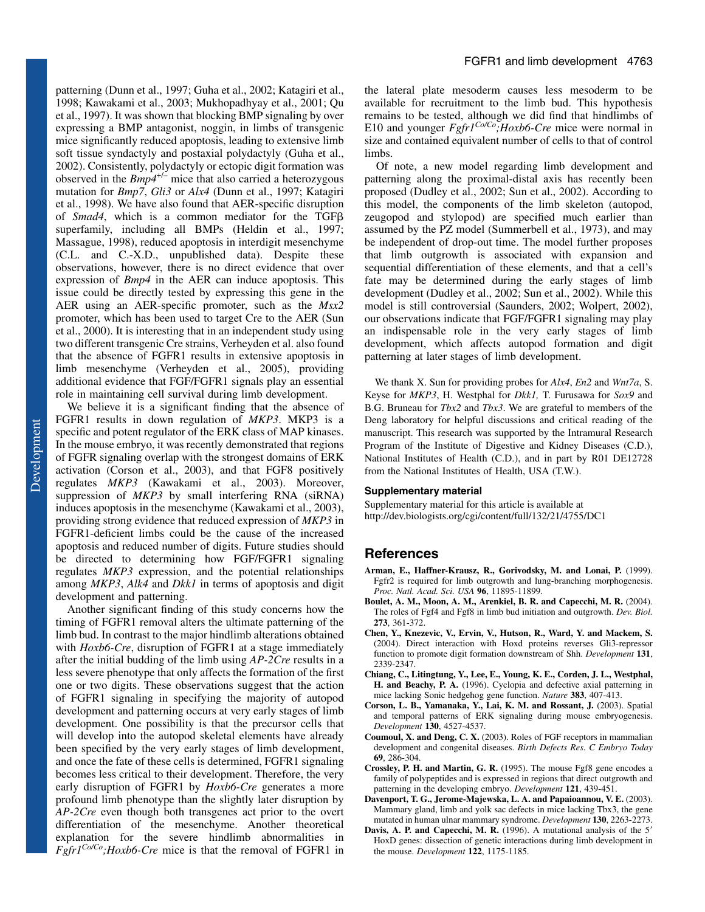patterning (Dunn et al., 1997; Guha et al., 2002; Katagiri et al., 1998; Kawakami et al., 2003; Mukhopadhyay et al., 2001; Qu et al., 1997). It was shown that blocking BMP signaling by over expressing a BMP antagonist, noggin, in limbs of transgenic mice significantly reduced apoptosis, leading to extensive limb soft tissue syndactyly and postaxial polydactyly (Guha et al., 2002). Consistently, polydactyly or ectopic digit formation was observed in the *Bmp4*+/– mice that also carried a heterozygous mutation for *Bmp7*, *Gli3* or *Alx4* (Dunn et al., 1997; Katagiri et al., 1998). We have also found that AER-specific disruption of *Smad4*, which is a common mediator for the TGF superfamily, including all BMPs (Heldin et al., 1997; Massague, 1998), reduced apoptosis in interdigit mesenchyme (C.L. and C.-X.D., unpublished data). Despite these observations, however, there is no direct evidence that over expression of *Bmp4* in the AER can induce apoptosis. This issue could be directly tested by expressing this gene in the AER using an AER-specific promoter, such as the *Msx2* promoter, which has been used to target Cre to the AER (Sun et al., 2000). It is interesting that in an independent study using two different transgenic Cre strains, Verheyden et al. also found that the absence of FGFR1 results in extensive apoptosis in limb mesenchyme (Verheyden et al., 2005), providing additional evidence that FGF/FGFR1 signals play an essential role in maintaining cell survival during limb development.

We believe it is a significant finding that the absence of FGFR1 results in down regulation of *MKP3*. MKP3 is a specific and potent regulator of the ERK class of MAP kinases. In the mouse embryo, it was recently demonstrated that regions of FGFR signaling overlap with the strongest domains of ERK activation (Corson et al., 2003), and that FGF8 positively regulates *MKP3* (Kawakami et al., 2003). Moreover, suppression of *MKP3* by small interfering RNA (siRNA) induces apoptosis in the mesenchyme (Kawakami et al., 2003), providing strong evidence that reduced expression of *MKP3* in FGFR1-deficient limbs could be the cause of the increased apoptosis and reduced number of digits. Future studies should be directed to determining how FGF/FGFR1 signaling regulates *MKP3* expression, and the potential relationships among *MKP3*, *Alk4* and *Dkk1* in terms of apoptosis and digit development and patterning.

Another significant finding of this study concerns how the timing of FGFR1 removal alters the ultimate patterning of the limb bud. In contrast to the major hindlimb alterations obtained with *Hoxb6-Cre*, disruption of FGFR1 at a stage immediately after the initial budding of the limb using *AP-2Cre* results in a less severe phenotype that only affects the formation of the first one or two digits. These observations suggest that the action of FGFR1 signaling in specifying the majority of autopod development and patterning occurs at very early stages of limb development. One possibility is that the precursor cells that will develop into the autopod skeletal elements have already been specified by the very early stages of limb development, and once the fate of these cells is determined, FGFR1 signaling becomes less critical to their development. Therefore, the very early disruption of FGFR1 by *Hoxb6-Cre* generates a more profound limb phenotype than the slightly later disruption by *AP-2Cre* even though both transgenes act prior to the overt differentiation of the mesenchyme. Another theoretical explanation for the severe hindlimb abnormalities in *Fgfr1Co/Co;Hoxb6-Cre* mice is that the removal of FGFR1 in

the lateral plate mesoderm causes less mesoderm to be available for recruitment to the limb bud. This hypothesis remains to be tested, although we did find that hindlimbs of E10 and younger *Fgfr1Co/Co;Hoxb6-Cre* mice were normal in size and contained equivalent number of cells to that of control limbs.

Of note, a new model regarding limb development and patterning along the proximal-distal axis has recently been proposed (Dudley et al., 2002; Sun et al., 2002). According to this model, the components of the limb skeleton (autopod, zeugopod and stylopod) are specified much earlier than assumed by the PZ model (Summerbell et al., 1973), and may be independent of drop-out time. The model further proposes that limb outgrowth is associated with expansion and sequential differentiation of these elements, and that a cell's fate may be determined during the early stages of limb development (Dudley et al., 2002; Sun et al., 2002). While this model is still controversial (Saunders, 2002; Wolpert, 2002), our observations indicate that FGF/FGFR1 signaling may play an indispensable role in the very early stages of limb development, which affects autopod formation and digit patterning at later stages of limb development.

We thank X. Sun for providing probes for *Alx4*, *En2* and *Wnt7a*, S. Keyse for *MKP3*, H. Westphal for *Dkk1,* T. Furusawa for *Sox9* and B.G. Bruneau for *Tbx2* and *Tbx3*. We are grateful to members of the Deng laboratory for helpful discussions and critical reading of the manuscript. This research was supported by the Intramural Research Program of the Institute of Digestive and Kidney Diseases (C.D.), National Institutes of Health (C.D.), and in part by R01 DE12728 from the National Institutes of Health, USA (T.W.).

#### **Supplementary material**

Supplementary material for this article is available at http://dev.biologists.org/cgi/content/full/132/21/4755/DC1

## **References**

- **Arman, E., Haffner-Krausz, R., Gorivodsky, M. and Lonai, P.** (1999). Fgfr2 is required for limb outgrowth and lung-branching morphogenesis. *Proc. Natl. Acad. Sci. USA* **96**, 11895-11899.
- **Boulet, A. M., Moon, A. M., Arenkiel, B. R. and Capecchi, M. R.** (2004). The roles of Fgf4 and Fgf8 in limb bud initiation and outgrowth. *Dev. Biol.* **273**, 361-372.
- **Chen, Y., Knezevic, V., Ervin, V., Hutson, R., Ward, Y. and Mackem, S.** (2004). Direct interaction with Hoxd proteins reverses Gli3-repressor function to promote digit formation downstream of Shh. *Development* **131**, 2339-2347.
- **Chiang, C., Litingtung, Y., Lee, E., Young, K. E., Corden, J. L., Westphal, H. and Beachy, P. A.** (1996). Cyclopia and defective axial patterning in mice lacking Sonic hedgehog gene function. *Nature* **383**, 407-413.
- **Corson, L. B., Yamanaka, Y., Lai, K. M. and Rossant, J.** (2003). Spatial and temporal patterns of ERK signaling during mouse embryogenesis. *Development* **130**, 4527-4537.
- **Coumoul, X. and Deng, C. X.** (2003). Roles of FGF receptors in mammalian development and congenital diseases. *Birth Defects Res. C Embryo Today* **69**, 286-304.
- **Crossley, P. H. and Martin, G. R.** (1995). The mouse Fgf8 gene encodes a family of polypeptides and is expressed in regions that direct outgrowth and patterning in the developing embryo. *Development* **121**, 439-451.
- **Davenport, T. G., Jerome-Majewska, L. A. and Papaioannou, V. E.** (2003). Mammary gland, limb and yolk sac defects in mice lacking Tbx3, the gene mutated in human ulnar mammary syndrome. *Development* **130**, 2263-2273.
- Davis, A. P. and Capecchi, M. R. (1996). A mutational analysis of the 5<sup>'</sup> HoxD genes: dissection of genetic interactions during limb development in the mouse. *Development* **122**, 1175-1185.